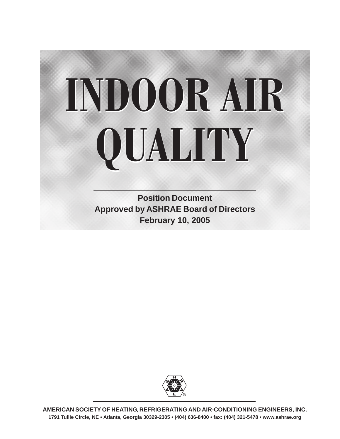# **INDOOR AIR INDOOR AIR QUALITY QUALITY**

**Position Document Approved by ASHRAE Board of Directors February 10, 2005**



**AMERICAN SOCIETY OF HEATING, REFRIGERATING AND AIR-CONDITIONING ENGINEERS, INC. 1791 Tullie Circle, NE • Atlanta, Georgia 30329-2305 • (404) 636-8400 • fax: (404) 321-5478 • www.ashrae.org**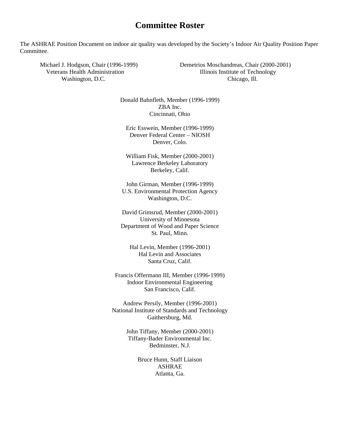## **Committee Roster**

The ASHRAE Position Document on indoor air quality was developed by the Society's Indoor Air Quality Position Paper Committee.

Washington, D.C. Chicago, Ill. Chicago, Ill.

Michael J. Hodgson, Chair (1996-1999) Demetrios Moschandreas, Chair (2000-2001) Veterans Health Administration **Illinois Institute of Technology** 

> Donald Bahnfleth, Member (1996-1999) ZBA Inc. Cincinnati, Ohio

Eric Esswein, Member (1996-1999) Denver Federal Center – NIOSH Denver, Colo.

William Fisk, Member (2000-2001) Lawrence Berkeley Laboratory Berkeley, Calif.

John Girman, Member (1996-1999) U.S. Environmental Protection Agency Washington, D.C.

David Grimsrud, Member (2000-2001) University of Minnesota Department of Wood and Paper Science St. Paul, Minn.

Hal Levin, Member (1996-2001) Hal Levin and Associates Santa Cruz, Calif.

Francis Offermann III, Member (1996-1999) Indoor Environmental Engineering San Francisco, Calif.

Andrew Persily, Member (1996-2001) National Institute of Standards and Technology Gaithersburg, Md.

> John Tiffany, Member (2000-2001) Tiffany-Bader Environmental Inc. Bedminster, N.J.

> > Bruce Hunn, Staff Liaison ASHRAE Atlanta, Ga.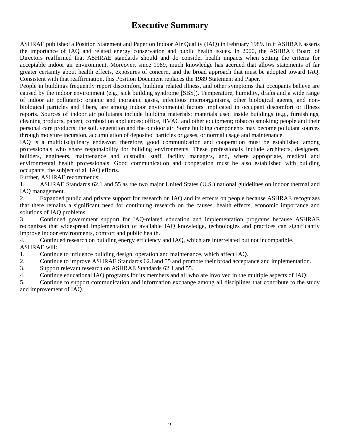# **Executive Summary**

ASHRAE published a Position Statement and Paper on Indoor Air Quality (IAQ) in February 1989. In it ASHRAE asserts the importance of IAQ and related energy conservation and public health issues. In 2000, the ASHRAE Board of Directors reaffirmed that ASHRAE standards should and do consider health impacts when setting the criteria for acceptable indoor air environment. Moreover, since 1989, much knowledge has accrued that allows statements of far greater certainty about health effects, exposures of concern, and the broad approach that must be adopted toward IAQ. Consistent with that reaffirmation, this Position Document replaces the 1989 Statement and Paper.

People in buildings frequently report discomfort, building related illness, and other symptoms that occupants believe are caused by the indoor environment (e.g., sick building syndrome [SBS]). Temperature, humidity, drafts and a wide range of indoor air pollutants: organic and inorganic gases, infectious microorganisms, other biological agents, and nonbiological particles and fibers, are among indoor environmental factors implicated in occupant discomfort or illness reports. Sources of indoor air pollutants include building materials; materials used inside buildings (e.g., furnishings, cleaning products, paper); combustion appliances; office, HVAC and other equipment; tobacco smoking; people and their personal care products; the soil, vegetation and the outdoor air. Some building components may become pollutant sources through moisture incursion, accumulation of deposited particles or gases, or normal usage and maintenance.

IAQ is a multidisciplinary endeavor; therefore, good communication and cooperation must be established among professionals who share responsibility for building environments. These professionals include architects, designers, builders, engineers, maintenance and custodial staff, facility managers, and, where appropriate, medical and environmental health professionals. Good communication and cooperation must be also established with building occupants, the subject of all IAQ efforts.

Further, ASHRAE recommends:

1. ASHRAE Standards 62.1 and 55 as the two major United States (U.S.) national guidelines on indoor thermal and IAQ management.

2. Expanded public and private support for research on IAQ and its effects on people because ASHRAE recognizes that there remains a significant need for continuing research on the causes, health effects, economic importance and solutions of IAQ problems.

3. Continued government support for IAQ-related education and implementation programs because ASHRAE recognizes that widespread implementation of available IAQ knowledge, technologies and practices can significantly improve indoor environments, comfort and public health.

4. Continued research on building energy efficiency and IAQ, which are interrelated but not incompatible. ASHRAE will:

1. Continue to influence building design, operation and maintenance, which affect IAQ.

- 2. Continue to improve ASHRAE Standards 62.1and 55 and promote their broad acceptance and implementation.
- 3. Support relevant research on ASHRAE Standards 62.1 and 55.
- 4. Continue educational IAQ programs for its members and all who are involved in the multiple aspects of IAQ.

5. Continue to support communication and information exchange among all disciplines that contribute to the study and improvement of IAQ.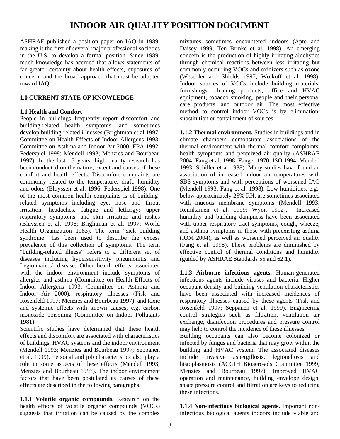# **INDOOR AIR QUALITY POSITION DOCUMENT**

ASHRAE published a position paper on IAQ in 1989, making it the first of several major professional societies in the U.S. to develop a formal position. Since 1989, much knowledge has accrued that allows statements of far greater certainty about health effects, exposures of concern, and the broad approach that must be adopted toward IAQ.

### **1.0 CURRENT STATE OF KNOWLEDGE**

### **1.1 Health and Comfort**

People in buildings frequently report discomfort and building-related health symptoms, and sometimes develop building-related illnesses (Brightman et al 1997; Committee on Health Effects of Indoor Allergens 1993; Committee on Asthma and Indoor Air 2000; EPA 1992; Federspiel 1998; Mendell 1993; Menzies and Bourbeau 1997). In the last 15 years, high quality research has been conducted on the nature, extent and causes of these comfort and health effects. Discomfort complaints are commonly related to the temperature, draft, humidity and odors (Bluyssen et al. 1996; Federspiel 1998). One of the most common health complaints is of buildingrelated symptoms including eye, nose and throat irritation; headaches, fatigue and lethargy; upper respiratory symptoms; and skin irritation and rashes (Bluyssen et al. 1996; Brightman et al. 1997; World Health Organization 1983). The term "sick building syndrome" has been used to describe the excess prevalence of this collection of symptoms. The term "building-related illness" refers to a different set of diseases including hypersensitivity pneumonitis and Legionnaires' disease. Other health effects associated with the indoor environment include symptoms of allergies and asthma (Committee on Health Effects of Indoor Allergens 1993; Committee on Asthma and Indoor Air 2000), respiratory illnesses (Fisk and Rosenfeld 1997; Menzies and Bourbeau 1997), and toxic and systemic effects with known causes, e.g. carbon monoxide poisoning (Committee on Indoor Pollutants 1981).

Scientific studies have determined that these health effects and discomfort are associated with characteristics of buildings, HVAC systems and the indoor environment (Mendell 1993; Menzies and Bourbeau 1997; Seppanen et al. 1999). Personal and job characteristics also play a role in some aspects of these effects (Mendell 1993; Menzies and Bourbeau 1997). The indoor environment factors that have been postulated as causes of these effects are described in the following paragraphs.

**1.1.1 Volatile organic compounds.** Research on the health effects of volatile organic compounds (VOCs) suggests that irritation can be caused by the complex

mixtures sometimes encountered indoors (Apte and Daisey 1999; Ten Brinke et al. 1998). An emerging concern is the production of highly irritating aldehydes through chemical reactions between less irritating but commonly occurring VOCs and oxidizers such as ozone (Weschler and Shields 1997; Wolkoff et al. 1998). Indoor sources of VOCs include building materials, furnishings, cleaning products, office and HVAC equipment, tobacco smoking, people and their personal care products, and outdoor air. The most effective method to control indoor VOCs is by elimination, substitution or containment of sources.

**1.1.2 Thermal environment.** Studies in buildings and in climate chambers demonstrate associations of the thermal environment with thermal comfort complaints, health symptoms and perceived air quality (ASHRAE 2004; Fang et al. 1998; Fanger 1970; ISO 1994; Mendell 1993; Schiller et al 1988). Many studies have found an association of increased indoor air temperatures with SBS symptoms and with perceptions of worsened IAQ (Mendell 1993; Fang et al. 1998). Low humidities, e.g., below approximately 25% RH, are sometimes associated with mucous membrane symptoms (Mendell 1993; Reinikainen et al. 1999; Wyon 1992). Increased humidity and building dampness have been associated with upper respiratory tract symptoms, cough, wheeze, and asthma symptoms in those with preexisting asthma (IOM 2004), as well as worsened perceived air quality (Fang et al. 1998). These problems are diminished by effective control of thermal conditions and humidity (guided by ASHRAE Standards 55 and 62.1).

**1.1.3 Airborne infectious agents.** Human-generated infectious agents include viruses and bacteria. Higher occupant density and building-ventilation characteristics have been associated with increased incidences of respiratory illnesses caused by these agents (Fisk and Rosenfeld 1997; Seppanen et al. 1999). Engineering control strategies such as filtration, ventilation air exchange, disinfection procedures and pressure control may help to control the incidence of these illnesses.

Building occupants can also become colonized or infected by fungus and bacteria that may grow within the building and HVAC system. The associated diseases include invasive aspergillosis, legionellosis and histoplasmosis (ACGIH Bioaerosols Committee 1999; Menzies and Bourbeau 1997). Improved HVAC operation and maintenance, building envelope design, space pressure control and filtration are keys to reducing these infections.

**1.1.4 Non-infectious biological agents.** Important noninfectious biological agents indoors include viable and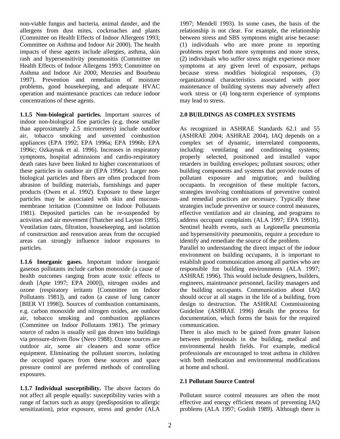non-viable fungus and bacteria, animal dander, and the allergens from dust mites, cockroaches and plants (Committee on Health Effects of Indoor Allergens 1993; Committee on Asthma and Indoor Air 2000). The health impacts of these agents include allergies, asthma, skin rash and hypersensitivity pneumonitis (Committee on Health Effects of Indoor Allergens 1993; Committee on Asthma and Indoor Air 2000; Menzies and Bourbeau 1997). Prevention and remediation of moisture problems, good housekeeping, and adequate HVAC operation and maintenance practices can reduce indoor concentrations of these agents.

**1.1.5 Non-biological particles.** Important sources of indoor non-biological fine particles (e.g. those smaller than approximately 2.5 micrometers) include outdoor air, tobacco smoking and unvented combustion appliances (EPA 1992; EPA 1996a; EPA 1996b; EPA 1996c; Ozkaynak et al. 1996). Increases in respiratory symptoms, hospital admissions and cardio-respiratory death rates have been linked to higher concentrations of these particles in outdoor air (EPA 1996c). Larger nonbiological particles and fibers are often produced from abrasion of building materials, furnishings and paper products (Owen et al. 1992). Exposure to these larger particles may be associated with skin and mucousmembrane irritation (Committee on Indoor Pollutants 1981). Deposited particles can be re-suspended by activities and air movement (Thatcher and Layton 1995). Ventilation rates, filtration, housekeeping, and isolation of construction and renovation areas from the occupied areas can strongly influence indoor exposures to particles.

**1.1.6 Inorganic gases.** Important indoor inorganic gaseous pollutants include carbon monoxide (a cause of health outcomes ranging from acute toxic effects to death [Apte 1997; EPA 2000]), nitrogen oxides and ozone (respiratory irritants [Committee on Indoor Pollutants 1981]), and radon (a cause of lung cancer [BIER VI 1998]). Sources of combustion contaminants, e.g. carbon monoxide and nitrogen oxides, are outdoor air, tobacco smoking and combustion appliances (Committee on Indoor Pollutants 1981). The primary source of radon is usually soil gas drawn into buildings via pressure-driven flow (Nero 1988). Ozone sources are outdoor air, some air cleaners and some office equipment. Eliminating the pollutant sources, isolating the occupied spaces from these sources and space pressure control are preferred methods of controlling exposures.

**1.1.7 Individual susceptibility.** The above factors do not affect all people equally: susceptibility varies with a range of factors such as atopy (predisposition to allergic sensitization), prior exposure, stress and gender (ALA

1997; Mendell 1993). In some cases, the basis of the relationship is not clear. For example, the relationship between stress and SBS symptoms might arise because: (1) individuals who are more prone to reporting problems report both more symptoms and more stress, (2) individuals who suffer stress might experience more symptoms at any given level of exposure, perhaps because stress modifies biological responses, (3) organizational characteristics associated with poor maintenance of building systems may adversely affect work stress or (4) long-term experience of symptoms may lead to stress.

### **2.0 BUILDINGS AS COMPLEX SYSTEMS**

As recognized in ASHRAE Standards 62.1 and 55 (ASHRAE 2004; ASHRAE 2004), IAQ depends on a complex set of dynamic, interrelated components, including: ventilating and conditioning systems; properly selected, positioned and installed vapor retarders in building envelopes; pollutant sources; other building components and systems that provide routes of pollutant exposure and migration; and building occupants. In recognition of these multiple factors, strategies involving combinations of preventive control and remedial practices are necessary. Typically these strategies include preventive or source control measures, effective ventilation and air cleaning, and programs to address occupant complaints (ALA 1997; EPA 1991b). Sentinel health events, such as Legionella pneumonia and hypersensitivity pneumonitis, require a procedure to identify and remediate the source of the problem.

Parallel to understanding the direct impact of the indoor environment on building occupants, it is important to establish good communication among all parties who are responsible for building environments (ALA 1997; ASHRAE 1996). This would include designers, builders, engineers, maintenance personnel, facility managers and the building occupants. Communication about IAQ should occur at all stages in the life of a building, from design to destruction. The ASHRAE Commissioning Guideline (ASHRAE 1996) details the process for documentation, which forms the basis for the required communication.

There is also much to be gained from greater liaison between professionals in the building, medical and environmental health fields. For example, medical professionals are encouraged to treat asthma in children with both medication and environmental modifications at home and school.

### **2.1 Pollutant Source Control**

Pollutant source control measures are often the most effective and energy efficient means of preventing IAQ problems (ALA 1997; Godish 1989). Although there is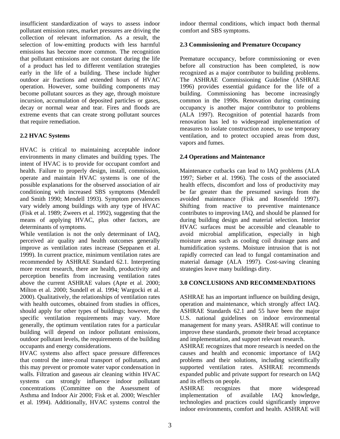insufficient standardization of ways to assess indoor pollutant emission rates, market pressures are driving the collection of relevant information. As a result, the selection of low-emitting products with less harmful emissions has become more common. The recognition that pollutant emissions are not constant during the life of a product has led to different ventilation strategies early in the life of a building. These include higher outdoor air fractions and extended hours of HVAC operation. However, some building components may become pollutant sources as they age, through moisture incursion, accumulation of deposited particles or gases, decay or normal wear and tear. Fires and floods are extreme events that can create strong pollutant sources that require remediation.

### **2.2 HVAC Systems**

HVAC is critical to maintaining acceptable indoor environments in many climates and building types. The intent of HVAC is to provide for occupant comfort and health. Failure to properly design, install, commission, operate and maintain HVAC systems is one of the possible explanations for the observed association of air conditioning with increased SBS symptoms (Mendell and Smith 1990; Mendell 1993). Symptom prevalences vary widely among buildings with any type of HVAC (Fisk et al. 1989; Zweers et al. 1992), suggesting that the means of applying HVAC, plus other factors, are determinants of symptoms.

While ventilation is not the only determinant of IAQ, perceived air quality and health outcomes generally improve as ventilation rates increase (Seppanen et al. 1999). In current practice, minimum ventilation rates are recommended by ASHRAE Standard 62.1. Interpreting more recent research, there are health, productivity and perception benefits from increasing ventilation rates above the current ASHRAE values (Apte et al. 2000; Milton et al. 2000; Sundell et al. 1994; Wargocki et al. 2000). Qualitatively, the relationships of ventilation rates with health outcomes, obtained from studies in offices, should apply for other types of buildings; however, the specific ventilation requirements may vary. More generally, the optimum ventilation rates for a particular building will depend on indoor pollutant emissions, outdoor pollutant levels, the requirements of the building occupants and energy considerations.

HVAC systems also affect space pressure differences that control the inter-zonal transport of pollutants, and this may prevent or promote water vapor condensation in walls. Filtration and gaseous air cleaning within HVAC systems can strongly influence indoor pollutant concentrations (Committee on the Assessment of Asthma and Indoor Air 2000; Fisk et al. 2000; Weschler et al. 1994). Additionally, HVAC systems control the

indoor thermal conditions, which impact both thermal comfort and SBS symptoms.

### **2.3 Commissioning and Premature Occupancy**

Premature occupancy, before commissioning or even before all construction has been completed, is now recognized as a major contributor to building problems. The ASHRAE Commissioning Guideline (ASHRAE 1996) provides essential guidance for the life of a building. Commissioning has become increasingly common in the 1990s. Renovation during continuing occupancy is another major contributor to problems (ALA 1997). Recognition of potential hazards from renovation has led to widespread implementation of measures to isolate construction zones, to use temporary ventilation, and to protect occupied areas from dust, vapors and fumes.

### **2.4 Operations and Maintenance**

Maintenance cutbacks can lead to IAQ problems (ALA 1997; Sieber et al. 1996). The costs of the associated health effects, discomfort and loss of productivity may be far greater than the presumed savings from the avoided maintenance (Fisk and Rosenfeld 1997). Shifting from reactive to preventive maintenance contributes to improving IAQ, and should be planned for during building design and material selection. Interior HVAC surfaces must be accessible and cleanable to avoid microbial amplification, especially in high moisture areas such as cooling coil drainage pans and humidification systems. Moisture intrusion that is not rapidly corrected can lead to fungal contamination and material damage (ALA 1997). Cost-saving cleaning strategies leave many buildings dirty.

### **3.0 CONCLUSIONS AND RECOMMENDATIONS**

ASHRAE has an important influence on building design, operation and maintenance, which strongly affect IAQ. ASHRAE Standards 62.1 and 55 have been the major U.S. national guidelines on indoor environmental management for many years. ASHRAE will continue to improve these standards, promote their broad acceptance and implementation, and support relevant research.

ASHRAE recognizes that more research is needed on the causes and health and economic importance of IAQ problems and their solutions, including scientifically supported ventilation rates. ASHRAE recommends expanded public and private support for research on IAQ and its effects on people.

ASHRAE recognizes that more widespread implementation of available IAQ knowledge, technologies and practices could significantly improve indoor environments, comfort and health. ASHRAE will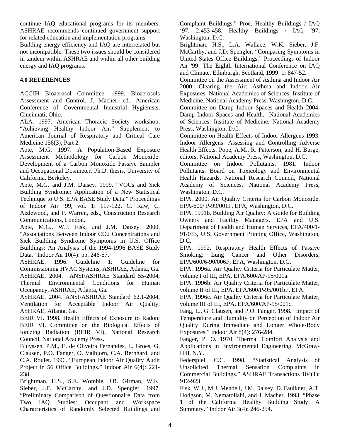continue IAQ educational programs for its members. ASHRAE recommends continued government support for related education and implementation programs.

Building energy efficiency and IAQ are interrelated but not incompatible. These two issues should be considered in tandem within ASHRAE and within all other building energy and IAQ programs.

### **4.0 REFERENCES**

ACGIH Bioaerosol Committee. 1999. Bioaerosols Assessment and Control. J. Macher, ed., American Conference of Governmental Industrial Hygienists, Cincinnati, Ohio.

ALA. 1997. American Thoracic Society workshop, "Achieving Healthy Indoor Air." Supplement to American Journal of Respiratory and Critical Care Medicine 156(3), Part 2.

Apte, M.G. 1997. A Population-Based Exposure Assessment Methodology for Carbon Monoxide: Development of a Carbon Monoxide Passive Sampler and Occupational Dosimeter. Ph.D. thesis, University of California, Berkeley.

Apte, M.G. and J.M. Daisey. 1999. "VOCs and Sick Building Syndrome: Application of a New Statistical Technique to U.S. EPA BASE Study Data." Proceedings of Indoor Air '99, vol. 1: 117-122. G. Raw, C. Aizlewood, and P. Warren, eds., Construction Research Communications, London.

Apte, M.G., W.J. Fisk, and J.M. Daisey. 2000. "Associations Between Indoor CO2 Concentrations and Sick Building Syndrome Symptoms in U.S. Office Buildings: An Analysis of the 1994-1996 BASE Study Data." Indoor Air 10(4): pp. 246-57.

ASHRAE. 1996. Guideline 1: Guideline for Commissioning HVAC Systems, ASHRAE, Atlanta, Ga. ASHRAE. 2004. ANSI/ASHRAE Standard 55-2004, Thermal Environmental Conditions for Human Occupancy, ASHRAE, Atlanta, Ga.

ASHRAE. 2004. ANSI/ASHRAE Standard 62.1-2004, Ventilation for Acceptable Indoor Air Quality, ASHRAE, Atlanta, Ga.

BEIR VI. 1998. Health Effects of Exposure to Radon: BEIR VI, Committee on the Biological Effects of Ionizing Radiation (BEIR VI), National Research Council, National Academy Press.

Bluyssen, P.M., E. de Oliveira Fernandes, L. Groes, G. Clausen, P.O. Fanger, O. Valbjorn, C.A. Bernhard, and C.A. Roulet. 1996. "European Indoor Air Quality Audit Project in 56 Office Buildings." Indoor Air 6(4): 221- 238.

Brightman, H.S., S.E. Womble, J.R. Girman, W.K. Sieber, J.F. McCarthy, and J.D. Spengler. 1997. "Preliminary Comparison of Questionnaire Data from Two IAQ Studies: Occupant and Workspace Characteristics of Randomly Selected Buildings and Complaint Buildings." Proc. Healthy Buildings / IAQ '97. 2:453-458. Healthy Buildings / IAQ '97, Washington, D.C.

Brightman, H.S., L.A. Wallace, W.K. Sieber, J.F. McCarthy, and J.D. Spengler. "Comparing Symptoms in United States Office Buildings." Proceedings of Indoor Air '99: The Eighth International Conference on IAQ and Climate. Edinburgh, Scotland, 1999: 1: 847-52.

Committee on the Assessment of Asthma and Indoor Air 2000. Clearing the Air: Asthma and Indoor Air Exposures. National Academies of Sciences, Institute of Medicine, National Academy Press, Washington, D.C.

Committee on Damp Indoor Spaces and Health 2004. Damp Indoor Spaces and Health. National Academies of Sciences, Institute of Medicine, National Academy Press, Washington, D.C.

Committee on Health Effects of Indoor Allergens 1993. Indoor Allergens: Assessing and Controlling Adverse Health Effects. Pope, A.M., R. Patterson, and H. Burge, editors. National Academy Press, Washington, D.C.

Committee on Indoor Pollutants. 1981. Indoor Pollutants. Board on Toxicology and Environmental Health Hazards, National Research Council, National Academy of Sciences, National Academy Press, Washington, D.C.

EPA. 2000. Air Quality Criteria for Carbon Monoxide. EPA-600/ P-99/001F, EPA, Washington, D.C.

EPA. 1991b. Building Air Quality: A Guide for Building Owners and Facility Managers. EPA and U.S. Department of Health and Human Services, EPA/400/1- 91/033, U.S. Government Printing Office, Washington, D.C.

EPA. 1992. Respiratory Health Effects of Passive Smoking: Lung Cancer and Other Disorders, EPA/600/6-90/006F, EPA, Washington, D.C.

EPA. 1996a. Air Quality Criteria for Particulate Matter, volume I of III, EPA, EPA/600/AP-95/001a.

EPA. 1996b. Air Quality Criteria for Particulate Matter, volume II of III, EPA, EPA/600/P-95/001bF, EPA.

EPA. 1996c. Air Quality Criteria for Particulate Matter, volume III of III, EPA, EPA/600/AP-95/001c.

Fang, L., G. Clausen, and P.O. Fanger. 1998. "Impact of Temperature and Humidity on Perception of Indoor Air Quality During Immediate and Longer Whole-Body Exposures." Indoor Air 8(4): 276-284.

Fanger, P. O. 1970. Thermal Comfort Analysis and Applications in Environmental Engineering. McGraw-Hill, N.Y.

Federspiel, C.C. 1998. "Statistical Analysis of Unsolicited Thermal Sensation Complaints in Commercial Buildings." ASHRAE Transactions 104(1): 912-923

Fisk, W.J., M.J. Mendell, J.M. Daisey, D. Faulkner, A.T. Hodgson, M. Nematollahi, and J. Macher. 1993. "Phase 1 of the California Healthy Building Study: A Summary." Indoor Air 3(4): 246-254.